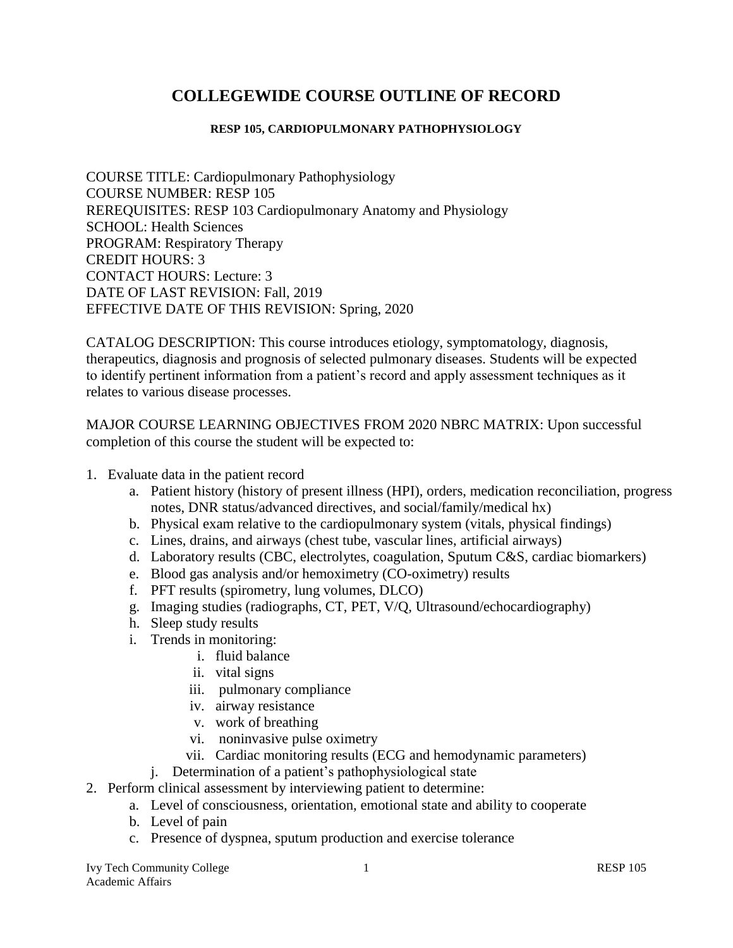# **COLLEGEWIDE COURSE OUTLINE OF RECORD**

#### **RESP 105, CARDIOPULMONARY PATHOPHYSIOLOGY**

COURSE TITLE: Cardiopulmonary Pathophysiology COURSE NUMBER: RESP 105 REREQUISITES: RESP 103 Cardiopulmonary Anatomy and Physiology SCHOOL: Health Sciences PROGRAM: Respiratory Therapy CREDIT HOURS: 3 CONTACT HOURS: Lecture: 3 DATE OF LAST REVISION: Fall, 2019 EFFECTIVE DATE OF THIS REVISION: Spring, 2020

CATALOG DESCRIPTION: This course introduces etiology, symptomatology, diagnosis, therapeutics, diagnosis and prognosis of selected pulmonary diseases. Students will be expected to identify pertinent information from a patient's record and apply assessment techniques as it relates to various disease processes.

MAJOR COURSE LEARNING OBJECTIVES FROM 2020 NBRC MATRIX: Upon successful completion of this course the student will be expected to:

- 1. Evaluate data in the patient record
	- a. Patient history (history of present illness (HPI), orders, medication reconciliation, progress notes, DNR status/advanced directives, and social/family/medical hx)
	- b. Physical exam relative to the cardiopulmonary system (vitals, physical findings)
	- c. Lines, drains, and airways (chest tube, vascular lines, artificial airways)
	- d. Laboratory results (CBC, electrolytes, coagulation, Sputum C&S, cardiac biomarkers)
	- e. Blood gas analysis and/or hemoximetry (CO-oximetry) results
	- f. PFT results (spirometry, lung volumes, DLCO)
	- g. Imaging studies (radiographs, CT, PET, V/Q, Ultrasound/echocardiography)
	- h. Sleep study results
	- i. Trends in monitoring:
		- i. fluid balance
		- ii. vital signs
		- iii. pulmonary compliance
		- iv. airway resistance
		- v. work of breathing
		- vi. noninvasive pulse oximetry
		- vii. Cardiac monitoring results (ECG and hemodynamic parameters)
		- j. Determination of a patient's pathophysiological state
- 2. Perform clinical assessment by interviewing patient to determine:
	- a. Level of consciousness, orientation, emotional state and ability to cooperate
	- b. Level of pain
	- c. Presence of dyspnea, sputum production and exercise tolerance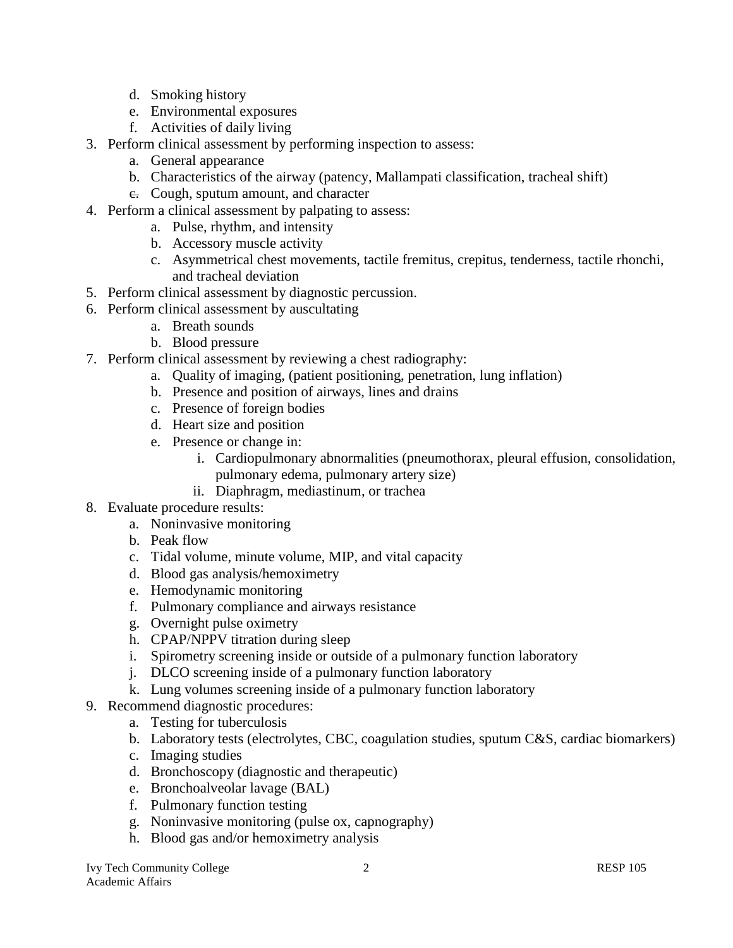- d. Smoking history
- e. Environmental exposures
- f. Activities of daily living
- 3. Perform clinical assessment by performing inspection to assess:
	- a. General appearance
	- b. Characteristics of the airway (patency, Mallampati classification, tracheal shift)
	- e. Cough, sputum amount, and character
- 4. Perform a clinical assessment by palpating to assess:
	- a. Pulse, rhythm, and intensity
	- b. Accessory muscle activity
	- c. Asymmetrical chest movements, tactile fremitus, crepitus, tenderness, tactile rhonchi, and tracheal deviation
- 5. Perform clinical assessment by diagnostic percussion.
- 6. Perform clinical assessment by auscultating
	- a. Breath sounds
	- b. Blood pressure
- 7. Perform clinical assessment by reviewing a chest radiography:
	- a. Quality of imaging, (patient positioning, penetration, lung inflation)
	- b. Presence and position of airways, lines and drains
	- c. Presence of foreign bodies
	- d. Heart size and position
	- e. Presence or change in:
		- i. Cardiopulmonary abnormalities (pneumothorax, pleural effusion, consolidation,
			- pulmonary edema, pulmonary artery size)
		- ii. Diaphragm, mediastinum, or trachea
- 8. Evaluate procedure results:
	- a. Noninvasive monitoring
	- b. Peak flow
	- c. Tidal volume, minute volume, MIP, and vital capacity
	- d. Blood gas analysis/hemoximetry
	- e. Hemodynamic monitoring
	- f. Pulmonary compliance and airways resistance
	- g. Overnight pulse oximetry
	- h. CPAP/NPPV titration during sleep
	- i. Spirometry screening inside or outside of a pulmonary function laboratory
	- j. DLCO screening inside of a pulmonary function laboratory
	- k. Lung volumes screening inside of a pulmonary function laboratory
- 9. Recommend diagnostic procedures:
	- a. Testing for tuberculosis
	- b. Laboratory tests (electrolytes, CBC, coagulation studies, sputum C&S, cardiac biomarkers)
	- c. Imaging studies
	- d. Bronchoscopy (diagnostic and therapeutic)
	- e. Bronchoalveolar lavage (BAL)
	- f. Pulmonary function testing
	- g. Noninvasive monitoring (pulse ox, capnography)
	- h. Blood gas and/or hemoximetry analysis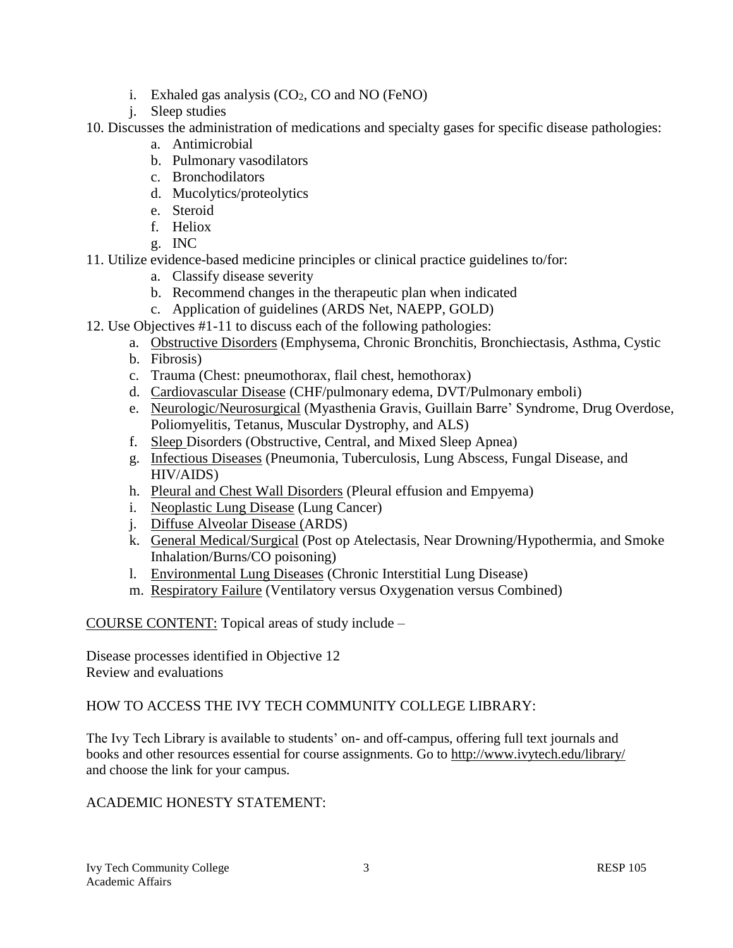- i. Exhaled gas analysis  $(CO_2, CO$  and NO (FeNO)
- j. Sleep studies

10. Discusses the administration of medications and specialty gases for specific disease pathologies:

- a. Antimicrobial
- b. Pulmonary vasodilators
- c. Bronchodilators
- d. Mucolytics/proteolytics
- e. Steroid
- f. Heliox
- g. INC
- 11. Utilize evidence-based medicine principles or clinical practice guidelines to/for:
	- a. Classify disease severity
	- b. Recommend changes in the therapeutic plan when indicated
	- c. Application of guidelines (ARDS Net, NAEPP, GOLD)
- 12. Use Objectives #1-11 to discuss each of the following pathologies:
	- a. Obstructive Disorders (Emphysema, Chronic Bronchitis, Bronchiectasis, Asthma, Cystic
	- b. Fibrosis)
	- c. Trauma (Chest: pneumothorax, flail chest, hemothorax)
	- d. Cardiovascular Disease (CHF/pulmonary edema, DVT/Pulmonary emboli)
	- e. Neurologic/Neurosurgical (Myasthenia Gravis, Guillain Barre' Syndrome, Drug Overdose, Poliomyelitis, Tetanus, Muscular Dystrophy, and ALS)
	- f. Sleep Disorders (Obstructive, Central, and Mixed Sleep Apnea)
	- g. Infectious Diseases (Pneumonia, Tuberculosis, Lung Abscess, Fungal Disease, and HIV/AIDS)
	- h. Pleural and Chest Wall Disorders (Pleural effusion and Empyema)
	- i. Neoplastic Lung Disease (Lung Cancer)
	- j. Diffuse Alveolar Disease (ARDS)
	- k. General Medical/Surgical (Post op Atelectasis, Near Drowning/Hypothermia, and Smoke Inhalation/Burns/CO poisoning)
	- l. Environmental Lung Diseases (Chronic Interstitial Lung Disease)
	- m. Respiratory Failure (Ventilatory versus Oxygenation versus Combined)

COURSE CONTENT: Topical areas of study include –

Disease processes identified in Objective 12 Review and evaluations

# HOW TO ACCESS THE IVY TECH COMMUNITY COLLEGE LIBRARY:

The Ivy Tech Library is available to students' on- and off-campus, offering full text journals and books and other resources essential for course assignments. Go to<http://www.ivytech.edu/library/> and choose the link for your campus.

# ACADEMIC HONESTY STATEMENT: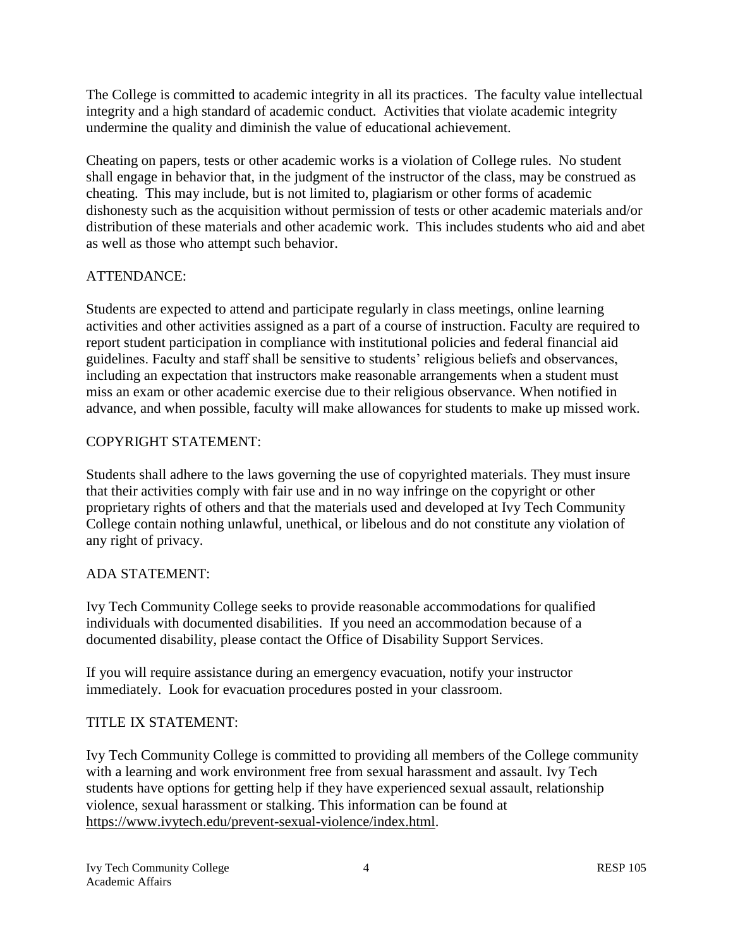The College is committed to academic integrity in all its practices. The faculty value intellectual integrity and a high standard of academic conduct. Activities that violate academic integrity undermine the quality and diminish the value of educational achievement.

Cheating on papers, tests or other academic works is a violation of College rules. No student shall engage in behavior that, in the judgment of the instructor of the class, may be construed as cheating. This may include, but is not limited to, plagiarism or other forms of academic dishonesty such as the acquisition without permission of tests or other academic materials and/or distribution of these materials and other academic work. This includes students who aid and abet as well as those who attempt such behavior.

## ATTENDANCE:

Students are expected to attend and participate regularly in class meetings, online learning activities and other activities assigned as a part of a course of instruction. Faculty are required to report student participation in compliance with institutional policies and federal financial aid guidelines. Faculty and staff shall be sensitive to students' religious beliefs and observances, including an expectation that instructors make reasonable arrangements when a student must miss an exam or other academic exercise due to their religious observance. When notified in advance, and when possible, faculty will make allowances for students to make up missed work.

### COPYRIGHT STATEMENT:

Students shall adhere to the laws governing the use of copyrighted materials. They must insure that their activities comply with fair use and in no way infringe on the copyright or other proprietary rights of others and that the materials used and developed at Ivy Tech Community College contain nothing unlawful, unethical, or libelous and do not constitute any violation of any right of privacy.

### ADA STATEMENT:

Ivy Tech Community College seeks to provide reasonable accommodations for qualified individuals with documented disabilities. If you need an accommodation because of a documented disability, please contact the Office of Disability Support Services.

If you will require assistance during an emergency evacuation, notify your instructor immediately. Look for evacuation procedures posted in your classroom.

### TITLE IX STATEMENT:

Ivy Tech Community College is committed to providing all members of the College community with a learning and work environment free from sexual harassment and assault. Ivy Tech students have options for getting help if they have experienced sexual assault, relationship violence, sexual harassment or stalking. This information can be found at [https://www.ivytech.edu/prevent-sexual-violence/index.html.](https://www.ivytech.edu/prevent-sexual-violence/index.html)